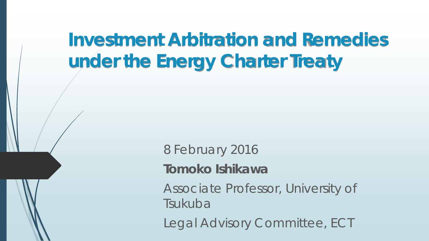# **Investment Arbitration and Remedies under the Energy Charter Treaty**

8 February 2016 **Tomoko Ishikawa** Associate Professor, University of Tsukuba Legal Advisory Committee, ECT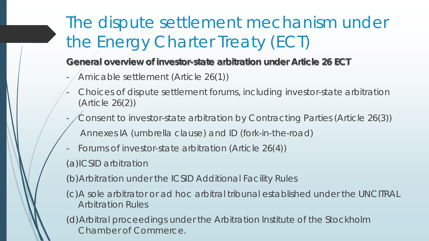# The dispute settlement mechanism under the Energy Charter Treaty (ECT)

#### **General overview of investor-state arbitration under Article 26 ECT**

- Amicable settlement (Article 26(1))
- Choices of dispute settlement forums, including investor-state arbitration (Article 26(2))
- Consent to investor-state arbitration by Contracting Parties (Article 26(3)) Annexes IA (umbrella clause) and ID (fork-in-the-road)
- Forums of investor-state arbitration (Article 26(4))
- (a)ICSID arbitration

(b)Arbitration under the ICSID Additional Facility Rules

(c)A sole arbitrator or ad hoc arbitral tribunal established under the UNCITRAL Arbitration Rules

(d)Arbitral proceedings under the Arbitration Institute of the Stockholm Chamber of Commerce.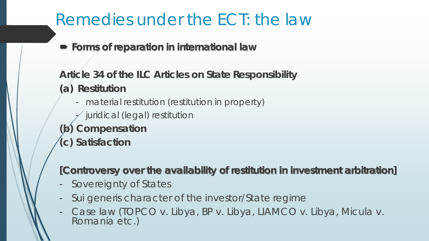**Forms of reparation in international law**

**Article 34 of the ILC Articles on State Responsibility (a) Restitution**

- material restitution (restitution in property)
- juridical (legal) restitution
- **(b) Compensation**
- **(c) Satisfaction**

#### **[Controversy over the availability of restitution in investment arbitration]**

- Sovereignty of States
- *Sui generis* character of the investor/State regime
- Case law (*TOPCO v. Libya, BP v. Libya, LIAMCO v. Libya, Micula v. Romania* etc.)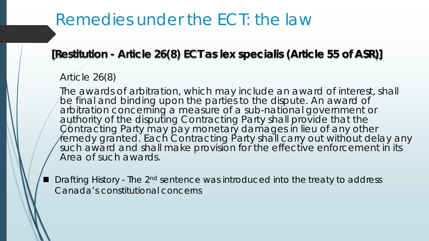#### **[Restitution - Article 26(8) ECT as** *lex specialis* **(Article 55 of ASR)]**

#### Article 26(8)

The awards of arbitration, which may include an award of interest, shall be final and binding upon the parties to the dispute. An award of arbitration concerning a measure of a sub-national government or authority of the disputing Contracting Party shall provide that the Contracting Party may pay monetary damages in lieu of any other remedy granted. Each Contracting Party shall carry out without delay any such award and shall make provision for the effective enforcement in its Area of such awards.

 $\blacksquare$  Drafting History - The 2<sup>nd</sup> sentence was introduced into the treaty to address Canada's constitutional concerns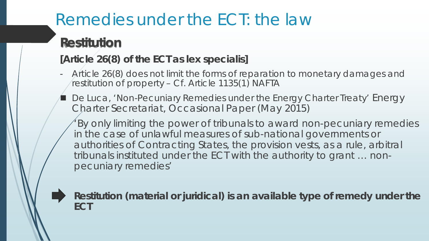### **Restitution**

#### **[Article 26(8) of the ECT as** *lex specialis***]**

- Article 26(8) does not limit the forms of reparation to monetary damages and restitution of property – Cf. Article 1135(1) NAFTA
- De Luca, 'Non-Pecuniary Remedies under the Energy Charter Treaty' Energy Charter Secretariat, Occasional Paper (May 2015)
	- 'By only limiting the power of tribunals to award non-pecuniary remedies in the case of unlawful measures of sub-national governments or authorities of Contracting States, the provision vests, as a rule, arbitral tribunals instituted under the ECT with the authority to grant … nonpecuniary remedies'



**Restitution (material or juridical) is an available type of remedy under the ECT**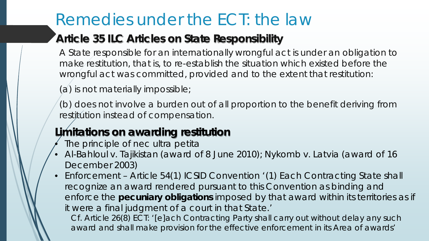#### **Article 35 ILC Articles on State Responsibility**

A State responsible for an internationally wrongful act is under an obligation to make restitution, that is, to re-establish the situation which existed before the wrongful act was committed, provided and to the extent that restitution:

(a) is not materially impossible;

(b) does not involve a burden out of all proportion to the benefit deriving from restitution instead of compensation.

#### **Limitations on awarding restitution**

- The principle of *nec ultra petita*
- *Al-Bahloul v. Tajikistan* (award of 8 June 2010); *Nykomb v. Latvia* (award of 16 December 2003)
- Enforcement Article 54(1) ICSID Convention '(1) Each Contracting State shall recognize an award rendered pursuant to this Convention as binding and enforce the **pecuniary obligations** imposed by that award within its territories as if it were a final judgment of a court in that State.'

Cf. Article 26(8) ECT: '[e]ach Contracting Party shall carry out without delay any such award and shall make provision for the effective enforcement in its Area of awards'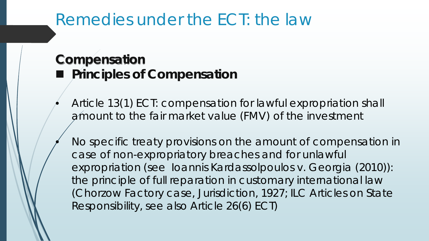#### **Compensation** ■ Principles of Compensation

- Article 13(1) ECT: compensation for lawful expropriation shall amount to the fair market value (FMV) of the investment
	- No specific treaty provisions on the amount of compensation in case of non-expropriatory breaches and for unlawful expropriation (see *Ioannis Kardassolpoulos v. Georgia* (2010)): the principle of full reparation in customary international law (*Chorzow Factory* case, Jurisdiction, 1927; ILC Articles on State Responsibility, see also Article 26(6) ECT)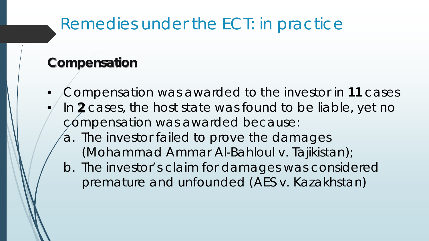## Remedies under the ECT: in practice

### **Compensation**

• Compensation was awarded to the investor in **11** cases • In **2** cases, the host state was found to be liable, yet no compensation was awarded because: a. The investor failed to prove the damages (*Mohammad Ammar Al-Bahloul v. Tajikistan*); b. The investor's claim for damages was considered premature and unfounded (*AES v. Kazakhstan*)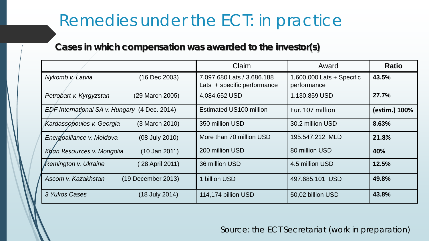## Remedies under the ECT: in practice

#### **Cases in which compensation was awarded to the investor(s)**

|                                               | Claim                                                     | Award                                      | <b>Ratio</b>  |
|-----------------------------------------------|-----------------------------------------------------------|--------------------------------------------|---------------|
| Nykomb v. Latvia<br>(16 Dec 2003)             | 7.097.680 Lats / 3.686.188<br>Lats + specific performance | 1,600,000 Lats $+$ Specific<br>performance | 43.5%         |
| (29 March 2005)<br>Petrobart v. Kyrgyzstan    | 4.084.652 USD                                             | 1.130.859 USD                              | 27.7%         |
| EDF International SA v. Hungary (4 Dec. 2014) | <b>Estimated US100 million</b>                            | Eur. 107 million                           | (estim.) 100% |
| Kardassopoulos v. Georgia<br>(3 March 2010)   | 350 million USD                                           | 30.2 million USD                           | 8.63%         |
| (08 July 2010)<br>Energoalliance v. Moldova   | More than 70 million USD                                  | 195.547.212 MLD                            | 21.8%         |
| Khan Resources v. Mongolia<br>$(10$ Jan 2011) | 200 million USD                                           | 80 million USD                             | 40%           |
| <b>Remington v. Ukraine</b><br>28 April 2011) | 36 million USD                                            | 4.5 million USD                            | 12.5%         |
| Ascom v. Kazakhstan<br>(19 December 2013)     | billion USD                                               | 497.685.101 USD                            | 49.8%         |
| 3 Yukos Cases<br>(18 July 2014)               | 114,174 billion USD                                       | 50,02 billion USD                          | 43.8%         |

Source: the ECT Secretariat (work in preparation)